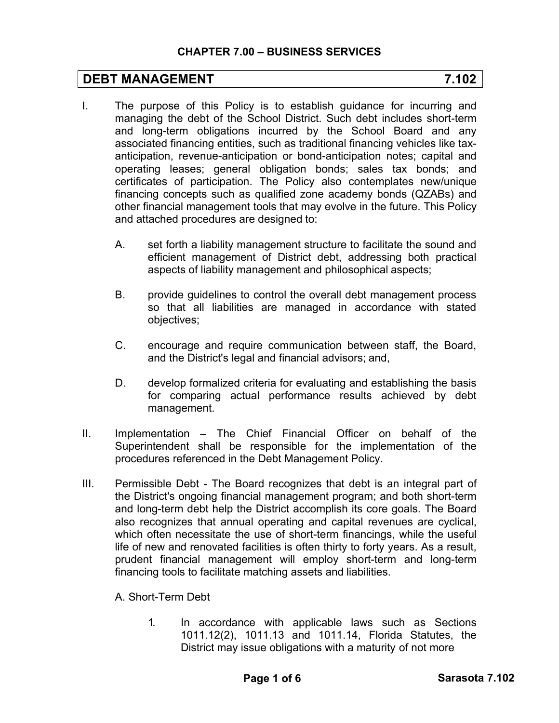## **DEBT MANAGEMENT** 7.102

- I. The purpose of this Policy is to establish guidance for incurring and managing the debt of the School District. Such debt includes short-term and long-term obligations incurred by the School Board and any associated financing entities, such as traditional financing vehicles like taxanticipation, revenue-anticipation or bond-anticipation notes; capital and operating leases; general obligation bonds; sales tax bonds; and certificates of participation. The Policy also contemplates new/unique financing concepts such as qualified zone academy bonds (QZABs) and other financial management tools that may evolve in the future. This Policy and attached procedures are designed to:
	- A. set forth a liability management structure to facilitate the sound and efficient management of District debt, addressing both practical aspects of liability management and philosophical aspects;
	- B. provide guidelines to control the overall debt management process so that all liabilities are managed in accordance with stated objectives;
	- C. encourage and require communication between staff, the Board, and the District's legal and financial advisors; and,
	- D. develop formalized criteria for evaluating and establishing the basis for comparing actual performance results achieved by debt management.
- II. Implementation The Chief Financial Officer on behalf of the Superintendent shall be responsible for the implementation of the procedures referenced in the Debt Management Policy.
- III. Permissible Debt The Board recognizes that debt is an integral part of the District's ongoing financial management program; and both short-term and long-term debt help the District accomplish its core goals. The Board also recognizes that annual operating and capital revenues are cyclical, which often necessitate the use of short-term financings, while the useful life of new and renovated facilities is often thirty to forty years. As a result, prudent financial management will employ short-term and long-term financing tools to facilitate matching assets and liabilities.

A. Short-Term Debt

1. In accordance with applicable laws such as Sections 1011.12(2), 1011.13 and 1011.14, Florida Statutes, the District may issue obligations with a maturity of not more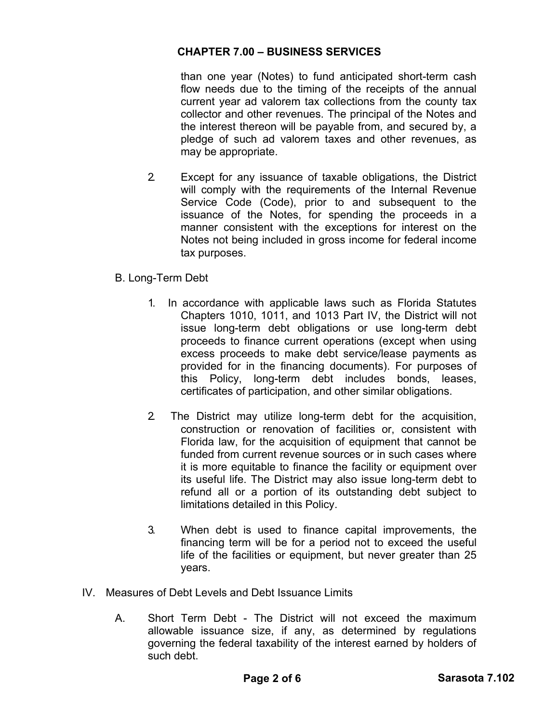than one year (Notes) to fund anticipated short-term cash flow needs due to the timing of the receipts of the annual current year ad valorem tax collections from the county tax collector and other revenues. The principal of the Notes and the interest thereon will be payable from, and secured by, a pledge of such ad valorem taxes and other revenues, as may be appropriate.

- 2. Except for any issuance of taxable obligations, the District will comply with the requirements of the Internal Revenue Service Code (Code), prior to and subsequent to the issuance of the Notes, for spending the proceeds in a manner consistent with the exceptions for interest on the Notes not being included in gross income for federal income tax purposes.
- B. Long-Term Debt
	- 1. In accordance with applicable laws such as Florida Statutes Chapters 1010, 1011, and 1013 Part IV, the District will not issue long-term debt obligations or use long-term debt proceeds to finance current operations (except when using excess proceeds to make debt service/lease payments as provided for in the financing documents). For purposes of this Policy, long-term debt includes bonds, leases, certificates of participation, and other similar obligations.
	- 2. The District may utilize long-term debt for the acquisition, construction or renovation of facilities or, consistent with Florida law, for the acquisition of equipment that cannot be funded from current revenue sources or in such cases where it is more equitable to finance the facility or equipment over its useful life. The District may also issue long-term debt to refund all or a portion of its outstanding debt subject to limitations detailed in this Policy.
	- 3. When debt is used to finance capital improvements, the financing term will be for a period not to exceed the useful life of the facilities or equipment, but never greater than 25 years.
- IV. Measures of Debt Levels and Debt Issuance Limits
	- A. Short Term Debt The District will not exceed the maximum allowable issuance size, if any, as determined by regulations governing the federal taxability of the interest earned by holders of such debt.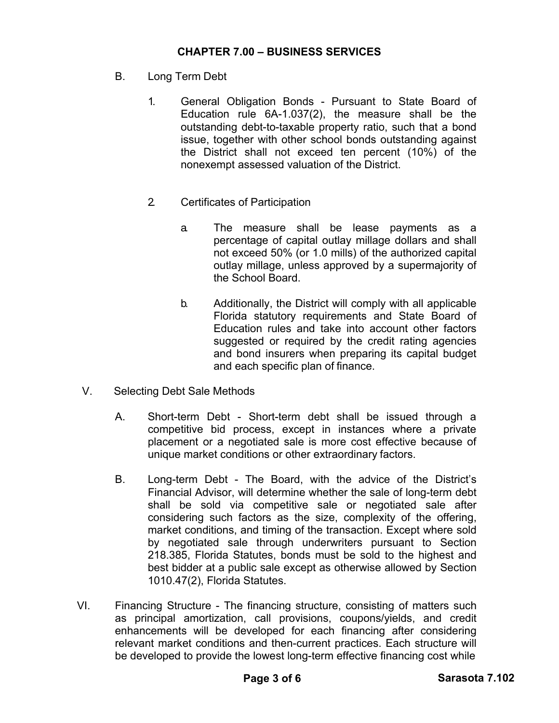- B. Long Term Debt
	- 1. General Obligation Bonds Pursuant to State Board of Education rule 6A-1.037(2), the measure shall be the outstanding debt-to-taxable property ratio, such that a bond issue, together with other school bonds outstanding against the District shall not exceed ten percent (10%) of the nonexempt assessed valuation of the District.
	- 2. Certificates of Participation
		- a. The measure shall be lease payments as a percentage of capital outlay millage dollars and shall not exceed 50% (or 1.0 mills) of the authorized capital outlay millage, unless approved by a supermajority of the School Board.
		- b. Additionally, the District will comply with all applicable Florida statutory requirements and State Board of Education rules and take into account other factors suggested or required by the credit rating agencies and bond insurers when preparing its capital budget and each specific plan of finance.
- V. Selecting Debt Sale Methods
	- A. Short-term Debt Short-term debt shall be issued through a competitive bid process, except in instances where a private placement or a negotiated sale is more cost effective because of unique market conditions or other extraordinary factors.
	- B. Long-term Debt The Board, with the advice of the District's Financial Advisor, will determine whether the sale of long-term debt shall be sold via competitive sale or negotiated sale after considering such factors as the size, complexity of the offering, market conditions, and timing of the transaction. Except where sold by negotiated sale through underwriters pursuant to Section 218.385, Florida Statutes, bonds must be sold to the highest and best bidder at a public sale except as otherwise allowed by Section 1010.47(2), Florida Statutes.
- VI. Financing Structure The financing structure, consisting of matters such as principal amortization, call provisions, coupons/yields, and credit enhancements will be developed for each financing after considering relevant market conditions and then-current practices. Each structure will be developed to provide the lowest long-term effective financing cost while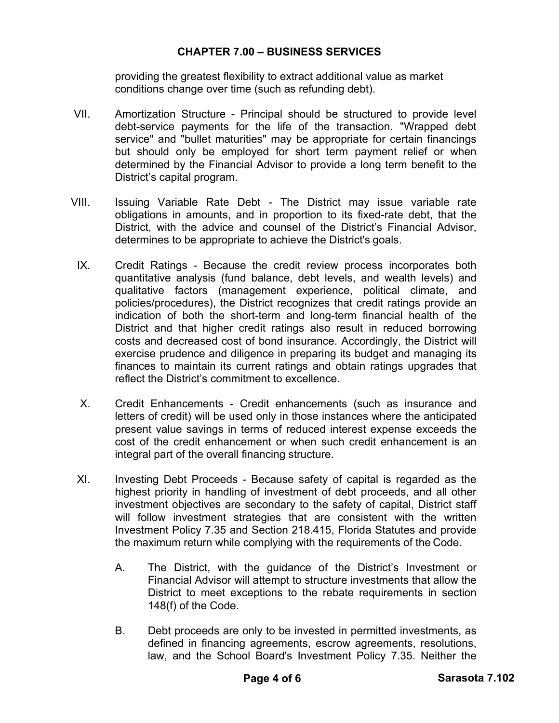providing the greatest flexibility to extract additional value as market conditions change over time (such as refunding debt).

- VII. Amortization Structure Principal should be structured to provide level debt-service payments for the life of the transaction. "Wrapped debt service" and "bullet maturities" may be appropriate for certain financings but should only be employed for short term payment relief or when determined by the Financial Advisor to provide a long term benefit to the District's capital program.
- VIII. Issuing Variable Rate Debt The District may issue variable rate obligations in amounts, and in proportion to its fixed-rate debt, that the District, with the advice and counsel of the District's Financial Advisor, determines to be appropriate to achieve the District's goals.
- IX. Credit Ratings Because the credit review process incorporates both quantitative analysis (fund balance, debt levels, and wealth levels) and qualitative factors (management experience, political climate, and policies/procedures), the District recognizes that credit ratings provide an indication of both the short-term and long-term financial health of the District and that higher credit ratings also result in reduced borrowing costs and decreased cost of bond insurance. Accordingly, the District will exercise prudence and diligence in preparing its budget and managing its finances to maintain its current ratings and obtain ratings upgrades that reflect the District's commitment to excellence.
- X. Credit Enhancements Credit enhancements (such as insurance and letters of credit) will be used only in those instances where the anticipated present value savings in terms of reduced interest expense exceeds the cost of the credit enhancement or when such credit enhancement is an integral part of the overall financing structure.
- XI. Investing Debt Proceeds Because safety of capital is regarded as the highest priority in handling of investment of debt proceeds, and all other investment objectives are secondary to the safety of capital, District staff will follow investment strategies that are consistent with the written Investment Policy 7.35 and Section 218.415, Florida Statutes and provide the maximum return while complying with the requirements of the Code.
	- A. The District, with the guidance of the District's Investment or Financial Advisor will attempt to structure investments that allow the District to meet exceptions to the rebate requirements in section 148(f) of the Code.
	- B. Debt proceeds are only to be invested in permitted investments, as defined in financing agreements, escrow agreements, resolutions, law, and the School Board's Investment Policy 7.35. Neither the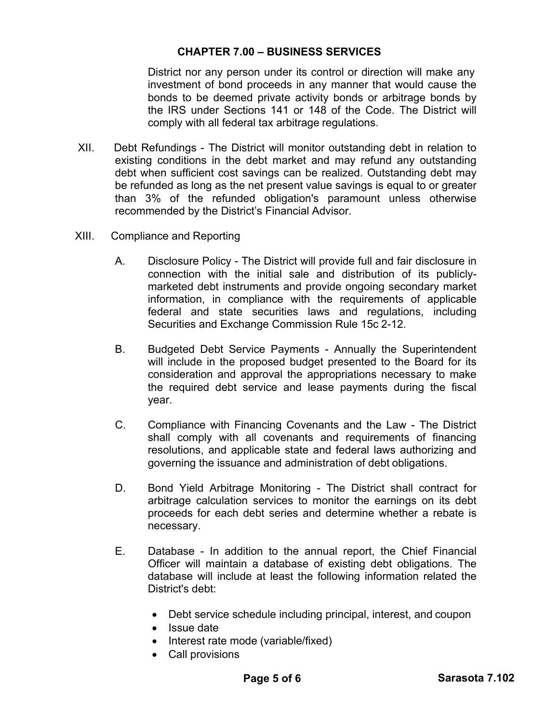District nor any person under its control or direction will make any investment of bond proceeds in any manner that would cause the bonds to be deemed private activity bonds or arbitrage bonds by the IRS under Sections 141 or 148 of the Code. The District will comply with all federal tax arbitrage regulations.

- XII. Debt Refundings The District will monitor outstanding debt in relation to existing conditions in the debt market and may refund any outstanding debt when sufficient cost savings can be realized. Outstanding debt may be refunded as long as the net present value savings is equal to or greater than 3% of the refunded obligation's paramount unless otherwise recommended by the District's Financial Advisor.
- XIII. Compliance and Reporting
	- A. Disclosure Policy The District will provide full and fair disclosure in connection with the initial sale and distribution of its publiclymarketed debt instruments and provide ongoing secondary market information, in compliance with the requirements of applicable federal and state securities laws and regulations, including Securities and Exchange Commission Rule 15c 2-12.
	- B. Budgeted Debt Service Payments Annually the Superintendent will include in the proposed budget presented to the Board for its consideration and approval the appropriations necessary to make the required debt service and lease payments during the fiscal year.
	- C. Compliance with Financing Covenants and the Law The District shall comply with all covenants and requirements of financing resolutions, and applicable state and federal laws authorizing and governing the issuance and administration of debt obligations.
	- D. Bond Yield Arbitrage Monitoring The District shall contract for arbitrage calculation services to monitor the earnings on its debt proceeds for each debt series and determine whether a rebate is necessary.
	- E. Database In addition to the annual report, the Chief Financial Officer will maintain a database of existing debt obligations. The database will include at least the following information related the District's debt:
		- Debt service schedule including principal, interest, and coupon
		- Issue date
		- Interest rate mode (variable/fixed)
		- Call provisions